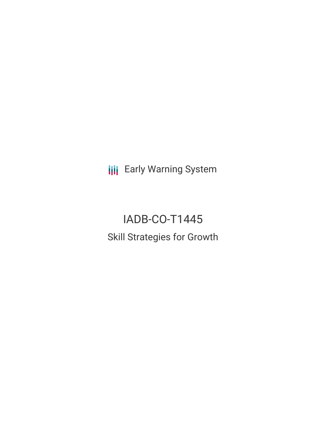**III** Early Warning System

# IADB-CO-T1445 Skill Strategies for Growth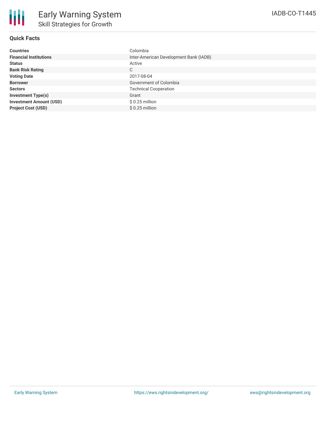| <b>Countries</b>               | Colombia                               |
|--------------------------------|----------------------------------------|
| <b>Financial Institutions</b>  | Inter-American Development Bank (IADB) |
| <b>Status</b>                  | Active                                 |
| <b>Bank Risk Rating</b>        | C                                      |
| <b>Voting Date</b>             | 2017-08-04                             |
| <b>Borrower</b>                | Government of Colombia                 |
| <b>Sectors</b>                 | <b>Technical Cooperation</b>           |
| <b>Investment Type(s)</b>      | Grant                                  |
| <b>Investment Amount (USD)</b> | $$0.25$ million                        |
| <b>Project Cost (USD)</b>      | $$0.25$ million                        |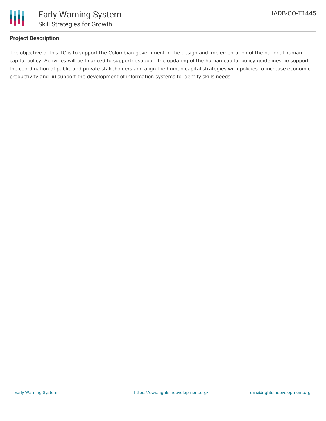

# **Project Description**

The objective of this TC is to support the Colombian government in the design and implementation of the national human capital policy. Activities will be financed to support: i)support the updating of the human capital policy guidelines; ii) support the coordination of public and private stakeholders and align the human capital strategies with policies to increase economic productivity and iii) support the development of information systems to identify skills needs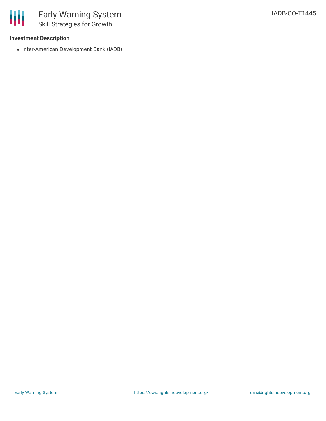### **Investment Description**

冊

• Inter-American Development Bank (IADB)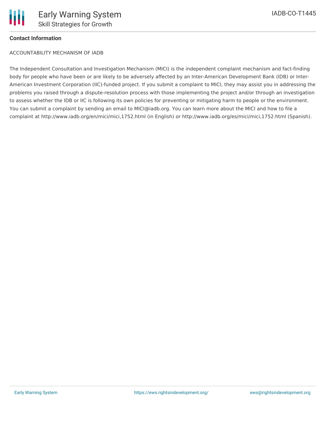# **Contact Information**

ACCOUNTABILITY MECHANISM OF IADB

The Independent Consultation and Investigation Mechanism (MICI) is the independent complaint mechanism and fact-finding body for people who have been or are likely to be adversely affected by an Inter-American Development Bank (IDB) or Inter-American Investment Corporation (IIC)-funded project. If you submit a complaint to MICI, they may assist you in addressing the problems you raised through a dispute-resolution process with those implementing the project and/or through an investigation to assess whether the IDB or IIC is following its own policies for preventing or mitigating harm to people or the environment. You can submit a complaint by sending an email to MICI@iadb.org. You can learn more about the MICI and how to file a complaint at http://www.iadb.org/en/mici/mici,1752.html (in English) or http://www.iadb.org/es/mici/mici,1752.html (Spanish).